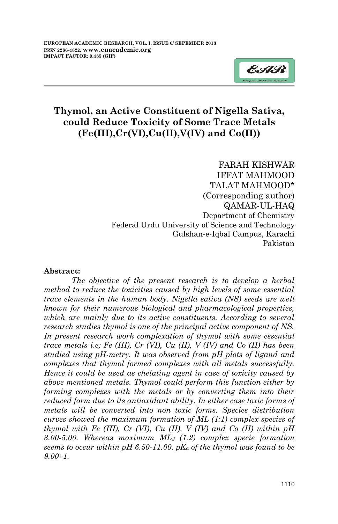

## **Thymol, an Active Constituent of Nigella Sativa, could Reduce Toxicity of Some Trace Metals (Fe(III),Cr(VI),Cu(II),V(IV) and Co(II))**

FARAH KISHWAR IFFAT MAHMOOD TALAT MAHMOOD\* (Corresponding author) QAMAR-UL-HAQ Department of Chemistry Federal Urdu University of Science and Technology Gulshan-e-Iqbal Campus, Karachi Pakistan

#### **Abstract:**

*The objective of the present research is to develop a herbal method to reduce the toxicities caused by high levels of some essential trace elements in the human body. Nigella sativa (NS) seeds are well known for their numerous biological and pharmacological properties, which are mainly due to its active constituents. According to several research studies thymol is one of the principal active component of NS. In present research work complexation of thymol with some essential trace metals i.e; Fe (III), Cr (VI), Cu (II), V (IV) and Co (II) has been studied using pH-metry. It was observed from pH plots of ligand and complexes that thymol formed complexes with all metals successfully. Hence it could be used as chelating agent in case of toxicity caused by above mentioned metals. Thymol could perform this function either by forming complexes with the metals or by converting them into their reduced form due to its antioxidant ability. In either case toxic forms of metals will be converted into non toxic forms. Species distribution curves showed the maximum formation of ML (1:1) complex species of thymol with Fe (III), Cr (VI), Cu (II), V (IV) and Co (II) within pH 3.00-5.00. Whereas maximum ML<sup>2</sup> (1:2) complex specie formation seems to occur within pH 6.50-11.00. pK<sup>a</sup> of the thymol was found to be 9.00±1.*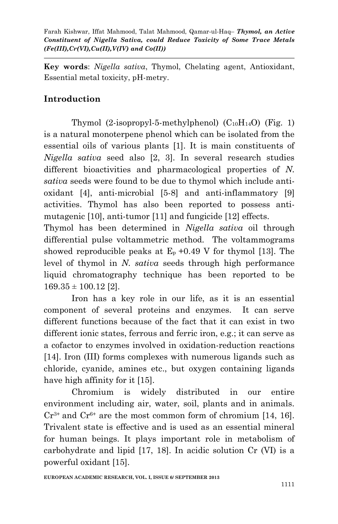**Key words**: *Nigella sativa*, Thymol, Chelating agent, Antioxidant, Essential metal toxicity, pH-metry.

# **Introduction**

Thymol  $(2-isoprovl-5-methylphenol)$   $(C_{10}H_{14}O)$  (Fig. 1) is a natural monoterpene phenol which can be isolated from the essential oils of various plants [1]. It is main constituents of *Nigella sativa* seed also [2, 3]. In several research studies different bioactivities and pharmacological properties of *N. sativa* seeds were found to be due to thymol which include antioxidant [4], anti-microbial [5-8] and anti-inflammatory [9] activities. Thymol has also been reported to possess antimutagenic [10], anti-tumor [11] and fungicide [12] effects.

Thymol has been determined in *Nigella sativa* oil through differential pulse voltammetric method. The voltammograms showed reproducible peaks at  $E_p + 0.49$  V for thymol [13]. The level of thymol in *N. sativa* seeds through high performance liquid chromatography technique has been reported to be  $169.35 \pm 100.12$  [2].

Iron has a key role in our life, as it is an essential component of several proteins and enzymes. It can serve different functions because of the fact that it can exist in two different ionic states, ferrous and ferric iron, e.g.; it can serve as a cofactor to enzymes involved in oxidation-reduction reactions [14]. Iron (III) forms complexes with numerous ligands such as chloride, cyanide, amines etc., but oxygen containing ligands have high affinity for it [15].

Chromium is widely distributed in our entire environment including air, water, soil, plants and in animals.  $Cr^{3+}$  and  $Cr^{6+}$  are the most common form of chromium [14, 16]. Trivalent state is effective and is used as an essential mineral for human beings. It plays important role in metabolism of carbohydrate and lipid [17, 18]. In acidic solution Cr (VI) is a powerful oxidant [15].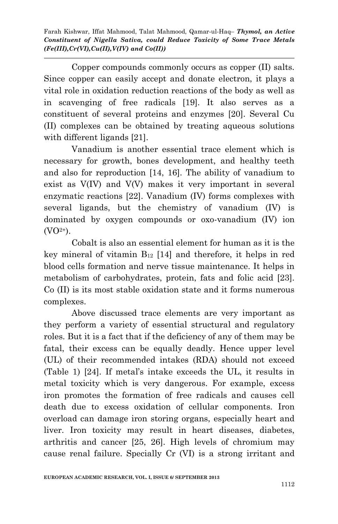Copper compounds commonly occurs as copper (II) salts. Since copper can easily accept and donate electron, it plays a vital role in oxidation reduction reactions of the body as well as in scavenging of free radicals [19]. It also serves as a constituent of several proteins and enzymes [20]. Several Cu (II) complexes can be obtained by treating aqueous solutions with different ligands [21].

Vanadium is another essential trace element which is necessary for growth, bones development, and healthy teeth and also for reproduction [14, 16]. The ability of vanadium to exist as V(IV) and V(V) makes it very important in several enzymatic reactions [22]. Vanadium (IV) forms complexes with several ligands, but the chemistry of vanadium (IV) is dominated by oxygen compounds or oxo-vanadium (IV) ion  $(VO<sup>2+</sup>)$ .

Cobalt is also an essential element for human as it is the key mineral of vitamin  $B_{12}$  [14] and therefore, it helps in red blood cells formation and nerve tissue maintenance. It helps in metabolism of carbohydrates, protein, fats and folic acid [23]. Co (II) is its most stable oxidation state and it forms numerous complexes.

Above discussed trace elements are very important as they perform a variety of essential structural and regulatory roles. But it is a fact that if the deficiency of any of them may be fatal, their excess can be equally deadly. Hence upper level (UL) of their recommended intakes (RDA) should not exceed (Table 1) [24]. If metal's intake exceeds the UL, it results in metal toxicity which is very dangerous. For example, excess iron promotes the formation of free radicals and causes cell death due to excess oxidation of cellular components. Iron overload can damage iron storing organs, especially heart and liver. Iron toxicity may result in heart diseases, diabetes, arthritis and cancer [25, 26]. High levels of chromium may cause renal failure. Specially Cr (VI) is a strong irritant and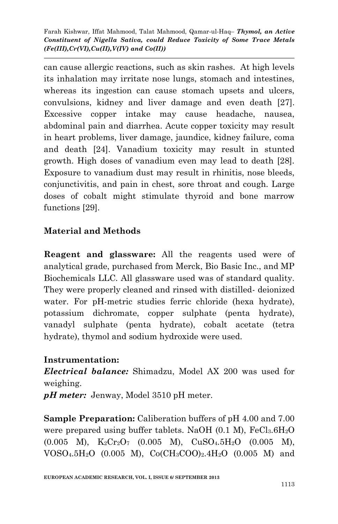can cause allergic reactions, such as skin rashes. At high levels its inhalation may irritate nose lungs, stomach and intestines, whereas its ingestion can cause stomach upsets and ulcers, convulsions, kidney and liver damage and even death [27]. Excessive copper intake may cause headache, nausea, abdominal pain and diarrhea. Acute copper toxicity may result in heart problems, liver damage, jaundice, kidney failure, coma and death [24]. Vanadium toxicity may result in stunted growth. High doses of vanadium even may lead to death [28]. Exposure to vanadium dust may result in rhinitis, nose bleeds, conjunctivitis, and pain in chest, sore throat and cough. Large doses of cobalt might stimulate thyroid and bone marrow functions [29].

# **Material and Methods**

**Reagent and glassware:** All the reagents used were of analytical grade, purchased from Merck, Bio Basic Inc., and MP Biochemicals LLC. All glassware used was of standard quality. They were properly cleaned and rinsed with distilled- deionized water. For pH-metric studies ferric chloride (hexa hydrate), potassium dichromate, copper sulphate (penta hydrate), vanadyl sulphate (penta hydrate), cobalt acetate (tetra hydrate), thymol and sodium hydroxide were used.

## **Instrumentation:**

*Electrical balance:* Shimadzu, Model AX 200 was used for weighing.

*pH meter:* Jenway, Model 3510 pH meter.

**Sample Preparation:** Caliberation buffers of pH 4.00 and 7.00 were prepared using buffer tablets. NaOH  $(0.1 \text{ M})$ , FeCl<sub>3</sub>.6H<sub>2</sub>O  $(0.005 \ M)$ ,  $K_2Cr_2O_7$   $(0.005 \ M)$ ,  $CuSO_4.5H_2O$   $(0.005 \ M)$ ,  $VOSO_4.5H_2O$  (0.005 M),  $Co(CH_3COO)_2.4H_2O$  (0.005 M) and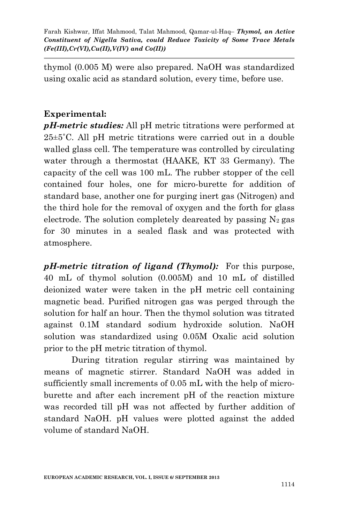thymol (0.005 M) were also prepared. NaOH was standardized using oxalic acid as standard solution, every time, before use.

## **Experimental:**

*pH-metric studies:* All pH metric titrations were performed at 25±5˚C. All pH metric titrations were carried out in a double walled glass cell. The temperature was controlled by circulating water through a thermostat (HAAKE, KT 33 Germany). The capacity of the cell was 100 mL. The rubber stopper of the cell contained four holes, one for micro-burette for addition of standard base, another one for purging inert gas (Nitrogen) and the third hole for the removal of oxygen and the forth for glass electrode. The solution completely deareated by passing  $N_2$  gas for 30 minutes in a sealed flask and was protected with atmosphere.

*pH-metric titration of ligand (Thymol):* For this purpose, 40 mL of thymol solution (0.005M) and 10 mL of distilled deionized water were taken in the pH metric cell containing magnetic bead. Purified nitrogen gas was perged through the solution for half an hour. Then the thymol solution was titrated against 0.1M standard sodium hydroxide solution. NaOH solution was standardized using 0.05M Oxalic acid solution prior to the pH metric titration of thymol.

During titration regular stirring was maintained by means of magnetic stirrer. Standard NaOH was added in sufficiently small increments of 0.05 mL with the help of microburette and after each increment pH of the reaction mixture was recorded till pH was not affected by further addition of standard NaOH. pH values were plotted against the added volume of standard NaOH.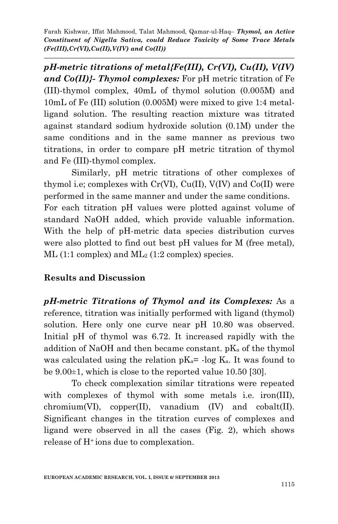*pH-metric titrations of metal{Fe(III), Cr(VI), Cu(II), V(IV) and Co(II)}- Thymol complexes:* For pH metric titration of Fe (III)-thymol complex, 40mL of thymol solution (0.005M) and 10mL of Fe (III) solution (0.005M) were mixed to give 1:4 metalligand solution. The resulting reaction mixture was titrated against standard sodium hydroxide solution (0.1M) under the same conditions and in the same manner as previous two titrations, in order to compare pH metric titration of thymol and Fe (III)-thymol complex.

Similarly, pH metric titrations of other complexes of thymol i.e; complexes with  $Cr(VI)$ ,  $Cu(II)$ ,  $V(IV)$  and  $Co(II)$  were performed in the same manner and under the same conditions. For each titration pH values were plotted against volume of standard NaOH added, which provide valuable information. With the help of pH-metric data species distribution curves were also plotted to find out best pH values for M (free metal),  $ML$  (1:1 complex) and  $ML_2$  (1:2 complex) species.

#### **Results and Discussion**

*pH-metric Titrations of Thymol and its Complexes:* As a reference, titration was initially performed with ligand (thymol) solution. Here only one curve near pH 10.80 was observed. Initial pH of thymol was 6.72. It increased rapidly with the addition of NaOH and then became constant.  $pK_a$  of the thymol was calculated using the relation  $pK_a$ = -log  $K_a$ . It was found to be 9.00±1, which is close to the reported value 10.50 [30].

To check complexation similar titrations were repeated with complexes of thymol with some metals i.e. iron(III),  $chromium(VI)$ ,  $copper(II)$ , vanadium  $(IV)$  and  $cobalt(II)$ . Significant changes in the titration curves of complexes and ligand were observed in all the cases (Fig. 2), which shows release of H+ ions due to complexation.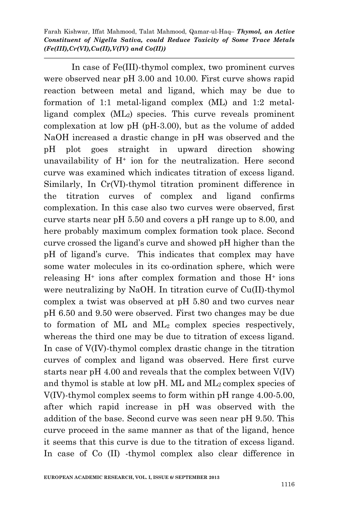In case of Fe(III)-thymol complex, two prominent curves were observed near pH 3.00 and 10.00. First curve shows rapid reaction between metal and ligand, which may be due to formation of 1:1 metal-ligand complex (ML) and 1:2 metalligand complex (ML2) species. This curve reveals prominent complexation at low pH (pH-3.00), but as the volume of added NaOH increased a drastic change in pH was observed and the pH plot goes straight in upward direction showing unavailability of  $H^+$  ion for the neutralization. Here second curve was examined which indicates titration of excess ligand. Similarly, In Cr(VI)-thymol titration prominent difference in the titration curves of complex and ligand confirms complexation. In this case also two curves were observed, first curve starts near pH 5.50 and covers a pH range up to 8.00, and here probably maximum complex formation took place. Second curve crossed the ligand's curve and showed pH higher than the pH of ligand's curve. This indicates that complex may have some water molecules in its co-ordination sphere, which were releasing  $H^+$  ions after complex formation and those  $H^+$  ions were neutralizing by NaOH. In titration curve of Cu(II)-thymol complex a twist was observed at pH 5.80 and two curves near pH 6.50 and 9.50 were observed. First two changes may be due to formation of ML and ML<sup>2</sup> complex species respectively, whereas the third one may be due to titration of excess ligand. In case of V(IV)-thymol complex drastic change in the titration curves of complex and ligand was observed. Here first curve starts near pH 4.00 and reveals that the complex between V(IV) and thymol is stable at low pH. ML and ML2 complex species of V(IV)-thymol complex seems to form within pH range 4.00-5.00, after which rapid increase in pH was observed with the addition of the base. Second curve was seen near pH 9.50. This curve proceed in the same manner as that of the ligand, hence it seems that this curve is due to the titration of excess ligand. In case of Co (II) -thymol complex also clear difference in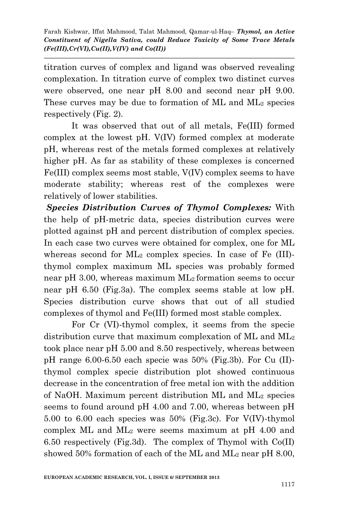titration curves of complex and ligand was observed revealing complexation. In titration curve of complex two distinct curves were observed, one near pH 8.00 and second near pH 9.00. These curves may be due to formation of ML and ML<sup>2</sup> species respectively (Fig. 2).

It was observed that out of all metals, Fe(III) formed complex at the lowest pH. V(IV) formed complex at moderate pH, whereas rest of the metals formed complexes at relatively higher pH. As far as stability of these complexes is concerned Fe(III) complex seems most stable, V(IV) complex seems to have moderate stability; whereas rest of the complexes were relatively of lower stabilities.

*Species Distribution Curves of Thymol Complexes:* With the help of pH-metric data, species distribution curves were plotted against pH and percent distribution of complex species. In each case two curves were obtained for complex, one for ML whereas second for ML<sub>2</sub> complex species. In case of Fe (III)thymol complex maximum ML species was probably formed near pH 3.00, whereas maximum ML2 formation seems to occur near pH 6.50 (Fig.3a). The complex seems stable at low pH. Species distribution curve shows that out of all studied complexes of thymol and Fe(III) formed most stable complex.

For Cr (VI)-thymol complex, it seems from the specie distribution curve that maximum complexation of ML and ML<sup>2</sup> took place near pH 5.00 and 8.50 respectively, whereas between pH range 6.00-6.50 each specie was 50% (Fig.3b). For Cu (II) thymol complex specie distribution plot showed continuous decrease in the concentration of free metal ion with the addition of NaOH. Maximum percent distribution ML and ML<sup>2</sup> species seems to found around pH 4.00 and 7.00, whereas between pH 5.00 to 6.00 each species was 50% (Fig.3c). For V(IV)-thymol complex ML and  $ML_2$  were seems maximum at pH 4.00 and 6.50 respectively (Fig.3d). The complex of Thymol with Co(II) showed 50% formation of each of the ML and  $ML_2$  near pH 8.00,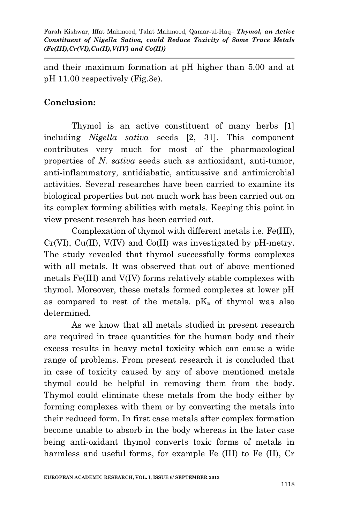and their maximum formation at pH higher than 5.00 and at pH 11.00 respectively (Fig.3e).

### **Conclusion:**

Thymol is an active constituent of many herbs [1] including *Nigella sativa* seeds [2, 31]. This component contributes very much for most of the pharmacological properties of *N. sativa* seeds such as antioxidant, anti-tumor, anti-inflammatory, antidiabatic, antitussive and antimicrobial activities. Several researches have been carried to examine its biological properties but not much work has been carried out on its complex forming abilities with metals. Keeping this point in view present research has been carried out.

Complexation of thymol with different metals i.e. Fe(III),  $Cr(VI)$ ,  $Cu(II)$ ,  $V(IV)$  and  $Co(II)$  was investigated by pH-metry. The study revealed that thymol successfully forms complexes with all metals. It was observed that out of above mentioned metals Fe(III) and V(IV) forms relatively stable complexes with thymol. Moreover, these metals formed complexes at lower pH as compared to rest of the metals.  $pK_a$  of thymol was also determined.

As we know that all metals studied in present research are required in trace quantities for the human body and their excess results in heavy metal toxicity which can cause a wide range of problems. From present research it is concluded that in case of toxicity caused by any of above mentioned metals thymol could be helpful in removing them from the body. Thymol could eliminate these metals from the body either by forming complexes with them or by converting the metals into their reduced form. In first case metals after complex formation become unable to absorb in the body whereas in the later case being anti-oxidant thymol converts toxic forms of metals in harmless and useful forms, for example Fe (III) to Fe (II), Cr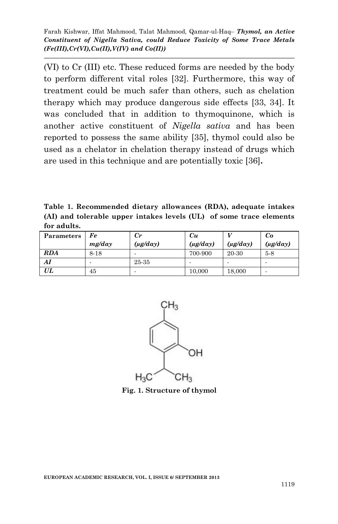(VI) to Cr (III) etc. These reduced forms are needed by the body to perform different vital roles [32]. Furthermore, this way of treatment could be much safer than others, such as chelation therapy which may produce dangerous side effects [33, 34]. It was concluded that in addition to thymoquinone, which is another active constituent of *Nigella sativa* and has been reported to possess the same ability [35], thymol could also be used as a chelator in chelation therapy instead of drugs which are used in this technique and are potentially toxic [36]**.**

**Table 1. Recommended dietary allowances (RDA), adequate intakes (AI) and tolerable upper intakes levels (UL) of some trace elements for adults.**

| Parameters | Fe     | $_{Cr}$       | Cи            |               | Co            |
|------------|--------|---------------|---------------|---------------|---------------|
|            | mg/day | $(\mu g/day)$ | $(\mu g/day)$ | $(\mu g/day)$ | $(\mu g/day)$ |
| <b>RDA</b> | 8-18   |               | 700-900       | 20-30         | $5-8$         |
| Al         |        | 25-35         |               |               |               |
| UL         | 45     |               | 10,000        | 18,000        |               |



**Fig. 1. Structure of thymol**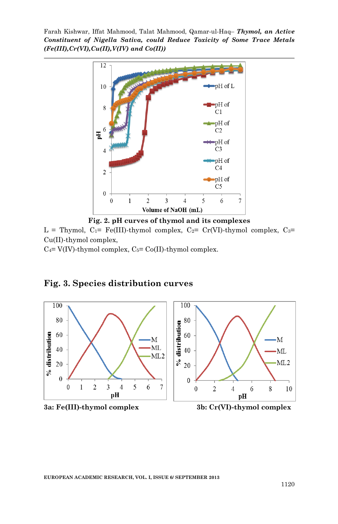

**Fig. 2. pH curves of thymol and its complexes**

L = Thymol,  $C_1$ = Fe(III)-thymol complex,  $C_2$ = Cr(VI)-thymol complex,  $C_3$ = Cu(II)-thymol complex,

 $C_4$ = V(IV)-thymol complex,  $C_5$ = Co(II)-thymol complex.



## **Fig. 3. Species distribution curves**



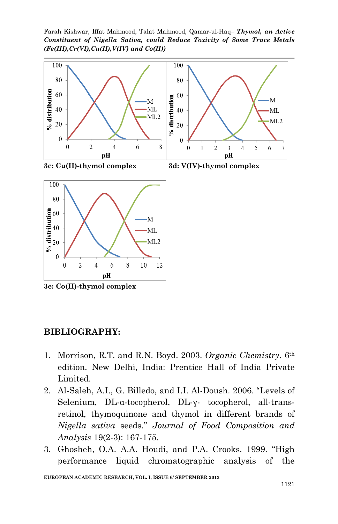Farah Kishwar, Iffat Mahmood, Talat Mahmood, Qamar-ul-Haq– *Thymol, an Active Constituent of Nigella Sativa, could Reduce Toxicity of Some Trace Metals (Fe(III),Cr(VI),Cu(II),V(IV) and Co(II))*





**3e: Co(II)-thymol complex**

#### **BIBLIOGRAPHY:**

- 1. Morrison, R.T. and R.N. Boyd. 2003. *Organic Chemistry*. 6th edition. New Delhi, India: Prentice Hall of India Private Limited.
- 2. Al-Saleh, A.I., G. Billedo, and I.I. Al-Doush. 2006. "Levels of Selenium, DL-α-tocopherol, DL-γ- tocopherol, all-transretinol, thymoquinone and thymol in different brands of *Nigella sativa* seeds." *Journal of Food Composition and Analysis* 19(2-3): 167-175.
- 3. Ghosheh, O.A. A.A. Houdi, and P.A. Crooks. 1999. "High performance liquid chromatographic analysis of the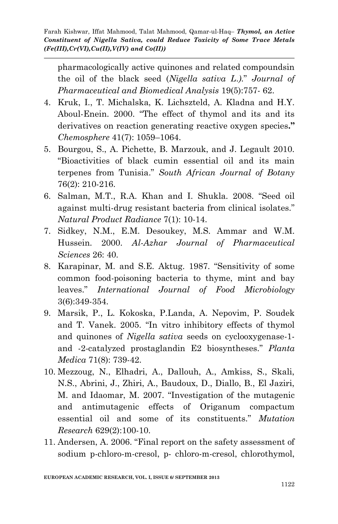pharmacologically active quinones and related compoundsin the oil of the black seed (*Nigella sativa L*.*)*." *Journal of Pharmaceutical and Biomedical Analysis* 19(5):757- 62.

- 4. Kruk, I., T. Michalska, K. Lichszteld, A. Kladna and H.Y. Aboul-Enein. 2000. "The effect of thymol and its and its derivatives on reaction generating reactive oxygen species**."** *Chemosphere* 41(7): 1059–1064.
- 5. Bourgou, S., A. Pichette, B. Marzouk, and J. Legault 2010. "Bioactivities of black cumin essential oil and its main terpenes from Tunisia." *South African Journal of Botany* 76(2): 210-216.
- 6. Salman, M.T., R.A. Khan and I. Shukla. 2008. "Seed oil against multi-drug resistant bacteria from clinical isolates." *Natural Product Radiance* 7(1): 10-14.
- 7. Sidkey, N.M., E.M. Desoukey, M.S. Ammar and W.M. Hussein. 2000. *Al-Azhar Journal of Pharmaceutical Sciences* 26: 40.
- 8. Karapinar, M. and S.E. Aktug. 1987. "Sensitivity of some common food-poisoning bacteria to thyme, mint and bay leaves." *International Journal of Food Microbiology* 3(6):349-354.
- 9. Marsik, P., L. Kokoska, P.Landa, A. Nepovim, P. Soudek and T. Vanek. 2005. "In vitro inhibitory effects of thymol and quinones of *Nigella sativa* seeds on cyclooxygenase-1 and -2-catalyzed prostaglandin E2 biosyntheses." *Planta Medica* 71(8): 739-42.
- 10. Mezzoug, N., Elhadri, A., Dallouh, A., Amkiss, S., Skali, N.S., Abrini, J., Zhiri, A., Baudoux, D., Diallo, B., El Jaziri, M. and Idaomar, M. 2007. "Investigation of the mutagenic and antimutagenic effects of Origanum compactum essential oil and some of its constituents." *Mutation Research* 629(2):100-10.
- 11. [Andersen, A.](http://www.ncbi.nlm.nih.gov/pubmed?term=Andersen%20A%5BAuthor%5D&cauthor=true&cauthor_uid=16835130) 2006. "Final report on the safety assessment of sodium p-chloro-m-cresol, p- chloro-m-cresol, chlorothymol,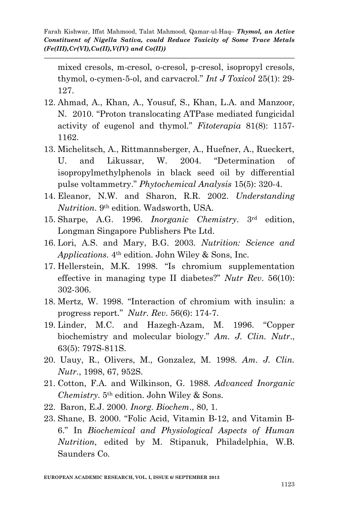mixed cresols, m-cresol, o-cresol, p-cresol, isopropyl cresols, thymol, o-cymen-5-ol, and carvacrol." *Int J Toxicol* 25(1): 29- 127.

- 12. Ahmad, A., Khan, A., Yousuf, S., Khan, L.A. and Manzoor, N. 2010. "Proton translocating ATPase mediated fungicidal activity of eugenol and thymol." *Fitoterapia* 81(8): 1157- 1162.
- 13. Michelitsch, A., Rittmannsberger, A., Huefner, A., Rueckert, U. and Likussar, W. 2004. "Determination of isopropylmethylphenols in black seed oil by differential pulse voltammetry." *Phytochemical Analysis* 15(5): 320-4.
- 14. Eleanor, N.W. and Sharon, R.R. 2002. *Understanding Nutrition*. 9th edition. Wadsworth, USA.
- 15. Sharpe, A.G. 1996. *Inorganic Chemistry*. 3rd edition, Longman Singapore Publishers Pte Ltd.
- 16. Lori, A.S. and Mary, B.G. 2003. *Nutrition: Science and Applications.* 4th edition. John Wiley & Sons, Inc.
- 17. Hellerstein, M.K. 1998. "Is chromium supplementation effective in managing type II diabetes?" *Nutr Rev*. 56(10): 302-306.
- 18. Mertz, W. 1998. "Interaction of chromium with insulin: a progress report." *Nutr. Rev*. 56(6): 174-7.
- 19. Linder, M.C. and Hazegh-Azam, M. 1996. "Copper biochemistry and molecular biology." *Am. J. Clin. Nutr*., 63(5): 797S-811S.
- 20. Uauy, R., Olivers, M., Gonzalez, M. 1998. *Am. J. Clin. Nutr*., 1998, 67, 952S.
- 21. Cotton, F.A. and Wilkinson, G. 1988. *Advanced Inorganic Chemistry*. 5th edition. John Wiley & Sons.
- 22. Baron, E.J. 2000. *Inorg. Biochem*., 80, 1.
- 23. Shane, B. 2000. "Folic Acid, Vitamin B-12, and Vitamin B-6." In *Biochemical and Physiological Aspects of Human Nutrition*, edited by M. Stipanuk, Philadelphia, W.B. Saunders Co.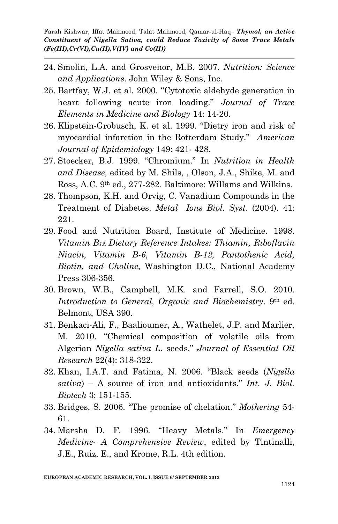- 24. Smolin, L.A. and Grosvenor, M.B. 2007. *Nutrition: Science and Applications*. John Wiley & Sons, Inc.
- 25. Bartfay, W.J. et al. 2000. "Cytotoxic aldehyde generation in heart following acute iron loading." *Journal of Trace Elements in Medicine and Biology* 14: 14-20.
- 26. Klipstein-Grobusch, K. et al. 1999. "Dietry iron and risk of myocardial infarction in the Rotterdam Study." *American Journal of Epidemiology* 149: 421- 428.
- 27. Stoecker, B.J. 1999. "Chromium." In *Nutrition in Health and Disease,* edited by M. Shils, , Olson, J.A., Shike, M. and Ross, A.C. 9th ed., 277-282. Baltimore: Willams and Wilkins.
- 28. Thompson, K.H. and Orvig, C. Vanadium Compounds in the Treatment of Diabetes. *Metal Ions Biol. Syst*. (2004). 41: 221.
- 29. Food and Nutrition Board, Institute of Medicine. 1998. *Vitamin B12*. *Dietary Reference Intakes: Thiamin, Riboflavin Niacin, Vitamin B-6, Vitamin B-12, Pantothenic Acid, Biotin, and Choline*, Washington D.C., National Academy Press 306-356.
- 30. Brown, W.B., Campbell, M.K. and Farrell, S.O. 2010. *Introduction to General, Organic and Biochemistry*. 9th ed. Belmont, USA 390.
- 31. Benkaci-Ali, F., Baalioumer, A., Wathelet, J.P. and Marlier, M. 2010. "Chemical composition of volatile oils from Algerian *Nigella sativa L*. seeds." *Journal of Essential Oil Research* 22(4): 318-322.
- 32. Khan, I.A.T. and Fatima, N. 2006. "Black seeds (*Nigella sativa*) – A source of iron and antioxidants." *Int. J. Biol. Biotech* 3: 151-155.
- 33. Bridges, S. 2006. "The promise of chelation." *Mothering* 54- 61.
- 34. Marsha D. F. 1996. "Heavy Metals." In *Emergency Medicine- A Comprehensive Review*, edited by Tintinalli, J.E., Ruiz, E., and Krome, R.L. 4th edition.